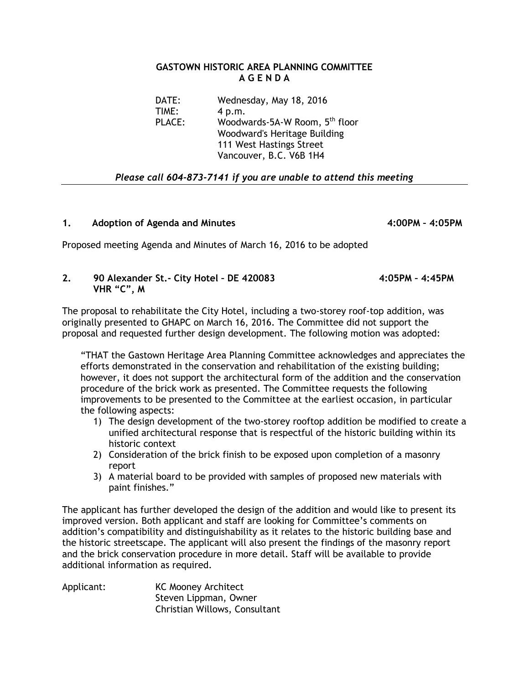### **GASTOWN HISTORIC AREA PLANNING COMMITTEE A G E N D A**

DATE: Wednesday, May 18, 2016 TIME: 4 p.m. PLACE: Woodwards-5A-W Room, 5<sup>th</sup> floor Woodward's Heritage Building 111 West Hastings Street Vancouver, B.C. V6B 1H4

# *Please call 604-873-7141 if you are unable to attend this meeting*

## **1. Adoption of Agenda and Minutes 4:00PM – 4:05PM**

Proposed meeting Agenda and Minutes of March 16, 2016 to be adopted

## **2. 90 Alexander St.- City Hotel – DE 420083 4:05PM – 4:45PM VHR "C", M**

The proposal to rehabilitate the City Hotel, including a two-storey roof-top addition, was originally presented to GHAPC on March 16, 2016. The Committee did not support the proposal and requested further design development. The following motion was adopted:

"THAT the Gastown Heritage Area Planning Committee acknowledges and appreciates the efforts demonstrated in the conservation and rehabilitation of the existing building; however, it does not support the architectural form of the addition and the conservation procedure of the brick work as presented. The Committee requests the following improvements to be presented to the Committee at the earliest occasion, in particular the following aspects:

- 1) The design development of the two-storey rooftop addition be modified to create a unified architectural response that is respectful of the historic building within its historic context
- 2) Consideration of the brick finish to be exposed upon completion of a masonry report
- 3) A material board to be provided with samples of proposed new materials with paint finishes."

The applicant has further developed the design of the addition and would like to present its improved version. Both applicant and staff are looking for Committee's comments on addition's compatibility and distinguishability as it relates to the historic building base and the historic streetscape. The applicant will also present the findings of the masonry report and the brick conservation procedure in more detail. Staff will be available to provide additional information as required.

Applicant: KC Mooney Architect Steven Lippman, Owner Christian Willows, Consultant